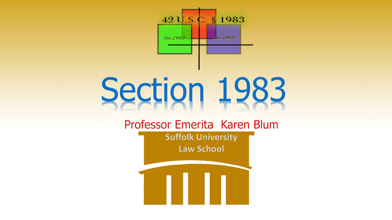

# Section 1983

Professor Emerita Karen Blum **Suffolk University** 

**Law School**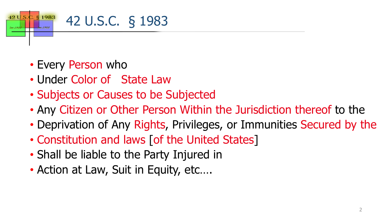

- Every Person who
- Under Color of State Law
- Subjects or Causes to be Subjected
- Any Citizen or Other Person Within the Jurisdiction thereof to the
- Deprivation of Any Rights, Privileges, or Immunities Secured by the
- Constitution and laws [of the United States]
- Shall be liable to the Party Injured in
- Action at Law, Suit in Equity, etc....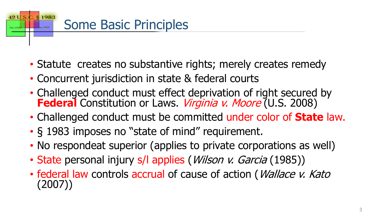

- Statute creates no substantive rights; merely creates remedy
- Concurrent jurisdiction in state & federal courts
- Challenged conduct must effect deprivation of right secured by **Federal** Constitution or Laws. Virginia v. Moore (U.S. 2008)
- Challenged conduct must be committed under color of **State** law.
- § 1983 imposes no "state of mind" requirement.
- No respondeat superior (applies to private corporations as well)
- State personal injury s/l applies (*Wilson v. Garcia* (1985))
- federal law controls accrual of cause of action (*Wallace v. Kato* (2007))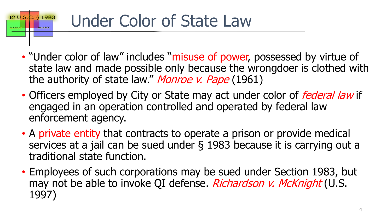### § 1983 Under Color of State Law

 $42U.S$ 

- "Under color of law" includes "misuse of power, possessed by virtue of state law and made possible only because the wrongdoer is clothed with the authority of state law." Monroe v. Pape (1961)
- Officers employed by City or State may act under color of *federal law* if engaged in an operation controlled and operated by federal law enforcement agency.
- A private entity that contracts to operate a prison or provide medical services at a jail can be sued under § 1983 because it is carrying out a traditional state function.
- Employees of such corporations may be sued under Section 1983, but may not be able to invoke QI defense. Richardson v. McKnight (U.S. 1997)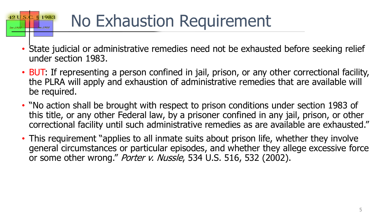# No Exhaustion Requirement

42 U.S

 $Soc.198$ 

§ 1983

- State judicial or administrative remedies need not be exhausted before seeking relief under section 1983.
- BUT: If representing a person confined in jail, prison, or any other correctional facility, the PLRA will apply and exhaustion of administrative remedies that are available will be required.
- "No action shall be brought with respect to prison conditions under section 1983 of this title, or any other Federal law, by a prisoner confined in any jail, prison, or other correctional facility until such administrative remedies as are available are exhausted."
- This requirement "applies to all inmate suits about prison life, whether they involve general circumstances or particular episodes, and whether they allege excessive force or some other wrong." Porter v. Nussle, 534 U.S. 516, 532 (2002).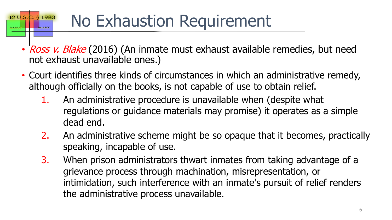# No Exhaustion Requirement

 $42U.S$ 

§ 1983

- Ross v. Blake (2016) (An inmate must exhaust available remedies, but need not exhaust unavailable ones.)
- Court identifies three kinds of circumstances in which an administrative remedy, although officially on the books, is not capable of use to obtain relief.
	- 1. An administrative procedure is unavailable when (despite what regulations or guidance materials may promise) it operates as a simple dead end.
	- 2. An administrative scheme might be so opaque that it becomes, practically speaking, incapable of use.
	- 3. When prison administrators thwart inmates from taking advantage of a grievance process through machination, misrepresentation, or intimidation, such interference with an inmate's pursuit of relief renders the administrative process unavailable.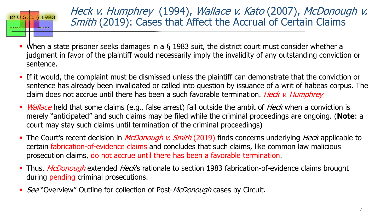

Heck v. Humphrey (1994), Wallace v. Kato (2007), McDonough v. Smith (2019): Cases that Affect the Accrual of Certain Claims

- When a state prisoner seeks damages in a § 1983 suit, the district court must consider whether a judgment in favor of the plaintiff would necessarily imply the invalidity of any outstanding conviction or sentence.
- If it would, the complaint must be dismissed unless the plaintiff can demonstrate that the conviction or sentence has already been invalidated or called into question by issuance of a writ of habeas corpus. The claim does not accrue until there has been a such favorable termination. *Heck v. Humphrey*
- *Wallace* held that some claims (e.g., false arrest) fall outside the ambit of *Heck* when a conviction is merely "anticipated" and such claims may be filed while the criminal proceedings are ongoing. (**Note**: a court may stay such claims until termination of the criminal proceedings)
- The Court's recent decision in *McDonough v. Smith* (2019) finds concerns underlying *Heck* applicable to certain fabrication-of-evidence claims and concludes that such claims, like common law malicious prosecution claims, do not accrue until there has been a favorable termination.
- Thus, McDonough extended Heck's rationale to section 1983 fabrication-of-evidence claims brought during pending criminal prosecutions.
- See "Overview" Outline for collection of Post-McDonough cases by Circuit.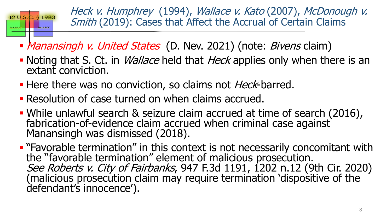

Heck v. Humphrey (1994), Wallace v. Kato (2007), McDonough v. Smith (2019): Cases that Affect the Accrual of Certain Claims

- *Manansingh v. United States* (D. Nev. 2021) (note: *Bivens* claim)
- Noting that S. Ct. in *Wallace* held that *Heck* applies only when there is an extant conviction.
- Here there was no conviction, so claims not *Heck*-barred.
- Resolution of case turned on when claims accrued.
- While unlawful search & seizure claim accrued at time of search (2016), fabrication-of-evidence claim accrued when criminal case against<br>Manansingh was dismissed (2018).
- **E** "Favorable termination" in this context is not necessarily concomitant with the "favorable termination" element of malicious prosecution.<br>See Roberts v. City of Fairbanks, 947 F.3d 1191, 1202 n.12 (9th Cir. 2020) (malicious prosecution claim may require termination 'dispositive of the defendant's innocence').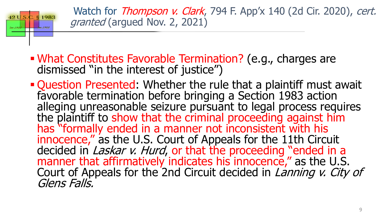

Watch for *Thompson v. Clark*, 794 F. App'x 140 (2d Cir. 2020), cert. granted (argued Nov. 2, 2021)

- What Constitutes Favorable Termination? (e.g., charges are dismissed "in the interest of justice")
- Question Presented: Whether the rule that a plaintiff must await favorable termination before bringing a Section 1983 action alleging unreasonable seizure pursuant to legal process requires the plaintiff to show that the criminal proceeding against him has "formally ended in a manner not inconsistent with his innocence," as the U.S. Court of Appeals for the 11th Circuit decided in *Laskar v. Hurd*, or that the proceeding "ended in a manner that affirmatively indicates his innocence," as the U.S. Court of Appeals for the 2nd Circuit decided in *Lanning v. City of* Glens Falls.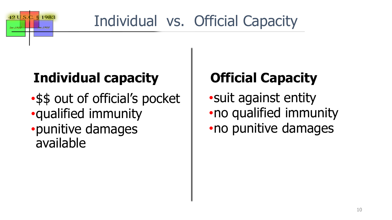

# Individual vs. Official Capacity

### **Individual capacity**

•\$\$ out of official's pocket •qualified immunity •punitive damages available

## **Official Capacity**

•suit against entity •no qualified immunity •no punitive damages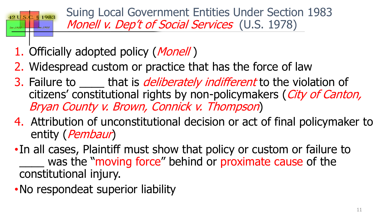

Suing Local Government Entities Under Section 1983 Monell v. Dep't of Social Services (U.S. 1978)

- 1. Officially adopted policy (*Monell*)
- 2. Widespread custom or practice that has the force of law
- 3. Failure to \_\_\_\_\_ that is *deliberately indifferent* to the violation of citizens' constitutional rights by non-policymakers (City of Canton, Bryan County v. Brown, Connick v. Thompson)
- 4. Attribution of unconstitutional decision or act of final policymaker to entity (*Pembaur*)
- •In all cases, Plaintiff must show that policy or custom or failure to was the "moving force" behind or proximate cause of the constitutional injury.
- •No respondeat superior liability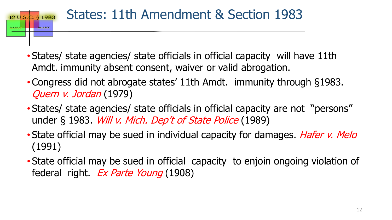#### States: 11th Amendment & Section 1983  $2.51983$  $42U.S.$ Sec. 1983

- States/ state agencies/ state officials in official capacity will have 11th Amdt. immunity absent consent, waiver or valid abrogation.
- Congress did not abrogate states' 11th Amdt. immunity through §1983. Quern v. Jordan (1979)
- States/ state agencies/ state officials in official capacity are not "persons" under § 1983. *Will v. Mich. Dep't of State Police* (1989)
- State official may be sued in individual capacity for damages. Hafer v. Melo (1991)
- State official may be sued in official capacity to enjoin ongoing violation of federal right. Ex Parte Young (1908)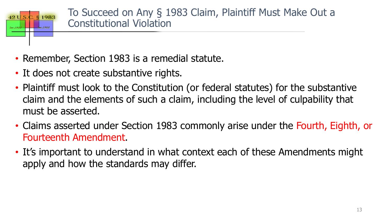

- Remember, Section 1983 is a remedial statute.
- It does not create substantive rights.
- Plaintiff must look to the Constitution (or federal statutes) for the substantive claim and the elements of such a claim, including the level of culpability that must be asserted.
- Claims asserted under Section 1983 commonly arise under the Fourth, Eighth, or Fourteenth Amendment.
- It's important to understand in what context each of these Amendments might apply and how the standards may differ.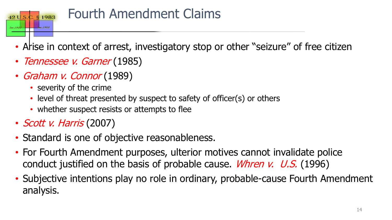

### Fourth Amendment Claims

- Arise in context of arrest, investigatory stop or other "seizure" of free citizen
- Tennessee v. Garner (1985)
- Graham v. Connor (1989)
	- severity of the crime
	- level of threat presented by suspect to safety of officer(s) or others
	- whether suspect resists or attempts to flee
- *Scott v. Harris* (2007)
- Standard is one of objective reasonableness.
- For Fourth Amendment purposes, ulterior motives cannot invalidate police conduct justified on the basis of probable cause. *Whren v. U.S.* (1996)
- Subjective intentions play no role in ordinary, probable-cause Fourth Amendment analysis.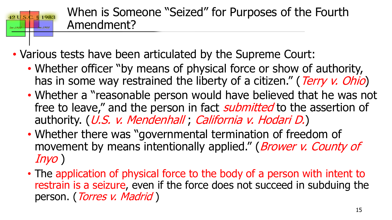When is Someone "Seized" for Purposes of the Fourth Amendment?

• Various tests have been articulated by the Supreme Court:

 $42U.S.$ 

- Whether officer "by means of physical force or show of authority, has in some way restrained the liberty of a citizen." (Terry v. Ohio)
- Whether a "reasonable person would have believed that he was not free to leave," and the person in fact *submitted* to the assertion of authority. (U.S. v. Mendenhall; California v. Hodari D.)
- Whether there was "governmental termination of freedom of movement by means intentionally applied." (*Brower v. County of* Inyo )
- The application of physical force to the body of a person with intent to restrain is a seizure, even if the force does not succeed in subduing the person. (Torres v. Madrid)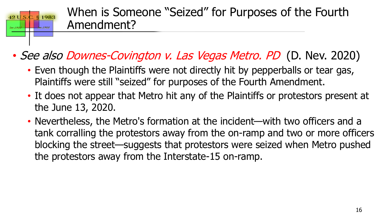

• See also Downes-Covington v. Las Vegas Metro. PD (D. Nev. 2020)

 $42U.S.$ 

Sec. 1983

- Even though the Plaintiffs were not directly hit by pepperballs or tear gas, Plaintiffs were still "seized" for purposes of the Fourth Amendment.
- It does not appear that Metro hit any of the Plaintiffs or protestors present at the June 13, 2020.
- Nevertheless, the Metro's formation at the incident—with two officers and a tank corralling the protestors away from the on-ramp and two or more officers blocking the street—suggests that protestors were seized when Metro pushed the protestors away from the Interstate-15 on-ramp.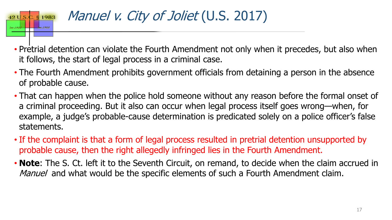#### Manuel v. City of Joliet (U.S. 2017)  $2. \,$ § 1983

 $42U.S.$ 

Sec. 1983

- Pretrial detention can violate the Fourth Amendment not only when it precedes, but also when it follows, the start of legal process in a criminal case.
- The Fourth Amendment prohibits government officials from detaining a person in the absence of probable cause.
- That can happen when the police hold someone without any reason before the formal onset of a criminal proceeding. But it also can occur when legal process itself goes wrong—when, for example, a judge's probable-cause determination is predicated solely on a police officer's false statements.
- If the complaint is that a form of legal process resulted in pretrial detention unsupported by probable cause, then the right allegedly infringed lies in the Fourth Amendment.
- **Note**: The S. Ct. left it to the Seventh Circuit, on remand, to decide when the claim accrued in Manuel and what would be the specific elements of such a Fourth Amendment claim.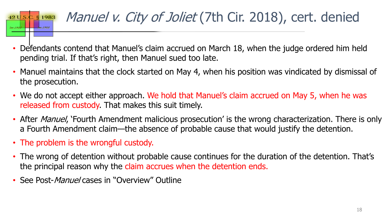### $42 \text{ U.S.}$ C. § 1983 Sec. 1983

## Manuel v. City of Joliet (7th Cir. 2018), cert. denied

- Defendants contend that Manuel's claim accrued on March 18, when the judge ordered him held pending trial. If that's right, then Manuel sued too late.
- Manuel maintains that the clock started on May 4, when his position was vindicated by dismissal of the prosecution.
- We do not accept either approach. We hold that Manuel's claim accrued on May 5, when he was released from custody. That makes this suit timely.
- After *Manuel*, 'Fourth Amendment malicious prosecution' is the wrong characterization. There is only a Fourth Amendment claim—the absence of probable cause that would justify the detention.
- The problem is the wrongful custody.
- The wrong of detention without probable cause continues for the duration of the detention. That's the principal reason why the claim accrues when the detention ends.
- See Post-*Manuel* cases in "Overview" Outline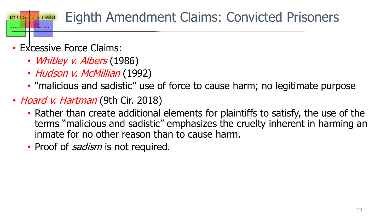#### Eighth Amendment Claims: Convicted Prisoners § 1983

### • Excessive Force Claims:

 $42U.S$ 

- *Whitley v. Albers* (1986)
- Hudson v. McMillian (1992)
- "malicious and sadistic" use of force to cause harm; no legitimate purpose
- Hoard v. Hartman (9th Cir. 2018)
	- Rather than create additional elements for plaintiffs to satisfy, the use of the terms "malicious and sadistic" emphasizes the cruelty inherent in harming an inmate for no other reason than to cause harm.
	- Proof of *sadism* is not required.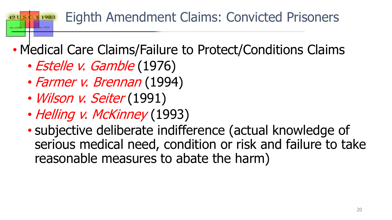#### Eighth Amendment Claims: Convicted Prisoners § 1983  $42U.S$

- Medical Care Claims/Failure to Protect/Conditions Claims
	- Estelle v. Gamble (1976)
	- Farmer v. Brennan (1994)
	- Wilson v. Seiter (1991)
	- Helling v. McKinney (1993)
	- subjective deliberate indifference (actual knowledge of serious medical need, condition or risk and failure to take reasonable measures to abate the harm)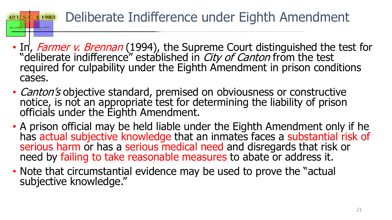#### Deliberate Indifference under Eighth Amendment  $42 \text{ U.S.}$ C. § 1983

Sec. 1983

- In, Farmer v. Brennan (1994), the Supreme Court distinguished the test for "deliberate indifference" established in *City of Canton* from the test required for culpability under the Eighth Amendment in prison conditions cases.
- *Canton's* objective standard, premised on obviousness or constructive notice, is not an appropriate test for determining the liability of prison officials under the Eighth Amendment.
- A prison official may be held liable under the Eighth Amendment only if he has actual subjective knowledge that an inmates faces a substantial risk of serious harm or has a serious medical need and disregards that risk or need by failing to take reasonable measures to abate or address it.
- Note that circumstantial evidence may be used to prove the "actual subjective knowledge."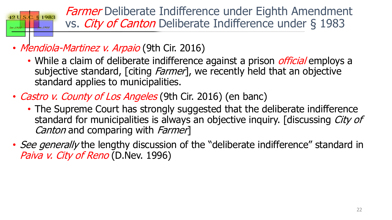

**Farmer** Deliberate Indifference under Eighth Amendment vs. City of Canton Deliberate Indifference under § 1983

- Mendiola-Martinez v. Arpaio (9th Cir. 2016)
	- While a claim of deliberate indifference against a prison *official* employs a subjective standard, [citing *Farmer*], we recently held that an objective standard applies to municipalities.
- *Castro v. County of Los Angeles* (9th Cir. 2016) (en banc)
	- The Supreme Court has strongly suggested that the deliberate indifference standard for municipalities is always an objective inquiry. [discussing City of Canton and comparing with Farmer
- See generally the lengthy discussion of the "deliberate indifference" standard in Paiva v. City of Reno (D.Nev. 1996)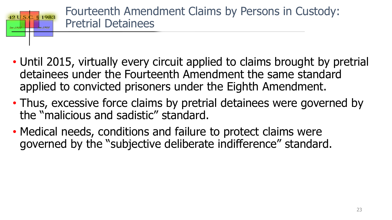

- Until 2015, virtually every circuit applied to claims brought by pretrial detainees under the Fourteenth Amendment the same standard applied to convicted prisoners under the Eighth Amendment.
- Thus, excessive force claims by pretrial detainees were governed by the "malicious and sadistic" standard.
- Medical needs, conditions and failure to protect claims were governed by the "subjective deliberate indifference" standard.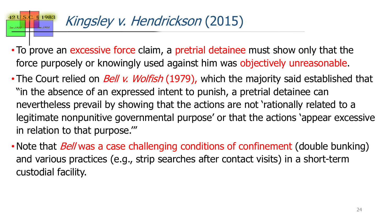#### $42U.S$ § 1983 Kingsley v. Hendrickson (2015)

- To prove an excessive force claim, a pretrial detainee must show only that the force purposely or knowingly used against him was objectively unreasonable.
- The Court relied on *Bell v. Wolfish* (1979), which the majority said established that "in the absence of an expressed intent to punish, a pretrial detainee can nevertheless prevail by showing that the actions are not 'rationally related to a legitimate nonpunitive governmental purpose' or that the actions 'appear excessive in relation to that purpose.'"
- Note that *Bell* was a case challenging conditions of confinement (double bunking) and various practices (e.g., strip searches after contact visits) in a short-term custodial facility.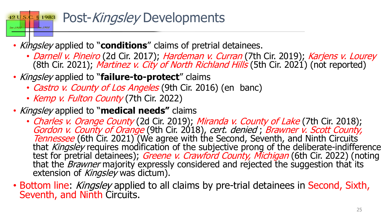#### Post-Kingsley Developments C. § 1983  $42U.S.$

- Kingsley applied to "**conditions**" claims of pretrial detainees.
	- Darnell v. Pineiro (2d Cir. 2017); Hardeman v. Curran (7th Cir. 2019); Karjens v. Lourey (8th Cir. 2021); Martinez v. City of North Richland Hills (5th Cir. 2021) (not reported)
- Kingsley applied to "**failure-to-protect**" claims
	- Castro v. County of Los Angeles (9th Cir. 2016) (en banc)
	- Kemp v. Fulton County (7th Cir. 2022)
- Kingsley applied to "**medical needs"** claims
	- Charles v. Orange County (2d Cir. 2019); Miranda v. County of Lake (7th Cir. 2018);<br>Gordon v. County of Orange (9th Cir. 2018), cert. denied ; Brawner v. Scott County,<br>Tennessee (6th Cir. 2021) (We agree with the Second, that *Kingsley* requires modification of the subjective prong of the deliberate-indifference<br>test for pretrial detainees); *Greene v. Crawford County, Michigan* (6th Cir. 2022) (noting that the *Brawner* majority expressly considered and rejected the suggestion that its extension of *Kingsley* was dictum).
- Bottom line: *Kingsley* applied to all claims by pre-trial detainees in Second, Sixth, Seventh, and Ninth Circuits.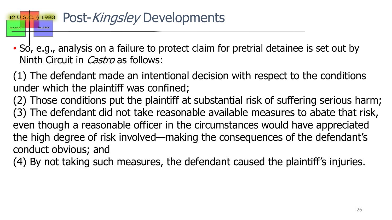#### Post-Kingsley Developments  $2. \ \S$  1983 42 U.S.

• So, e.g., analysis on a failure to protect claim for pretrial detainee is set out by Ninth Circuit in *Castro* as follows:

(1) The defendant made an intentional decision with respect to the conditions under which the plaintiff was confined;

(2) Those conditions put the plaintiff at substantial risk of suffering serious harm; (3) The defendant did not take reasonable available measures to abate that risk, even though a reasonable officer in the circumstances would have appreciated the high degree of risk involved—making the consequences of the defendant's conduct obvious; and

(4) By not taking such measures, the defendant caused the plaintiff's injuries.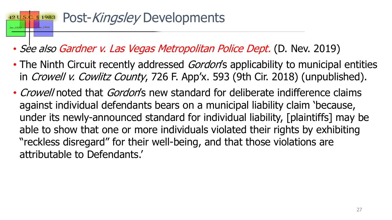### Post-Kingsley Developments § 1983

- See also Gardner v. Las Vegas Metropolitan Police Dept. (D. Nev. 2019)
- The Ninth Circuit recently addressed Gordon's applicability to municipal entities in Crowell v. Cowlitz County, 726 F. App'x. 593 (9th Cir. 2018) (unpublished).
- *Crowell* noted that *Gordon*'s new standard for deliberate indifference claims against individual defendants bears on a municipal liability claim 'because, under its newly-announced standard for individual liability, [plaintiffs] may be able to show that one or more individuals violated their rights by exhibiting "reckless disregard" for their well-being, and that those violations are attributable to Defendants.'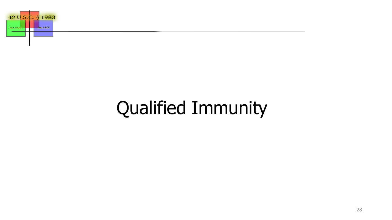

# Qualified Immunity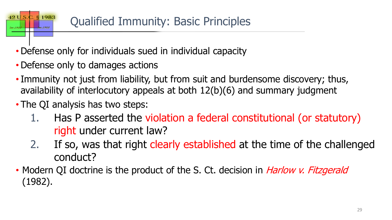### Qualified Immunity: Basic Principles

- Defense only for individuals sued in individual capacity
- Defense only to damages actions

§ 1983

42 U.S.

Sec. 1983

- Immunity not just from liability, but from suit and burdensome discovery; thus, availability of interlocutory appeals at both 12(b)(6) and summary judgment
- The QI analysis has two steps:
	- 1. Has P asserted the violation a federal constitutional (or statutory) right under current law?
	- 2. If so, was that right clearly established at the time of the challenged conduct?
- Modern QI doctrine is the product of the S. Ct. decision in *Harlow v. Fitzgerald* (1982).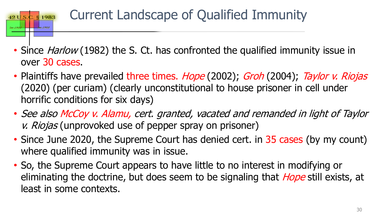#### Current Landscape of Qualified Immunity  $2.51983$

 $42U.S.$ 

Sec. 1983

- Since *Harlow* (1982) the S. Ct. has confronted the qualified immunity issue in over 30 cases.
- Plaintiffs have prevailed three times. *Hope* (2002); *Groh* (2004); Taylor v. Riojas (2020) (per curiam) (clearly unconstitutional to house prisoner in cell under horrific conditions for six days)
- See also McCoy v. Alamu, cert. granted, vacated and remanded in light of Taylor v. Riojas (unprovoked use of pepper spray on prisoner)
- Since June 2020, the Supreme Court has denied cert. in 35 cases (by my count) where qualified immunity was in issue.
- So, the Supreme Court appears to have little to no interest in modifying or eliminating the doctrine, but does seem to be signaling that *Hope* still exists, at least in some contexts.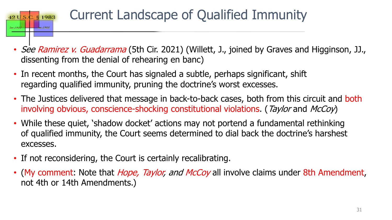

### Current Landscape of Qualified Immunity

- See Ramirez v. Guadarrama (5th Cir. 2021) (Willett, J., joined by Graves and Higginson, JJ., dissenting from the denial of rehearing en banc)
- In recent months, the Court has signaled a subtle, perhaps significant, shift regarding qualified immunity, pruning the doctrine's worst excesses.
- The Justices delivered that message in back-to-back cases, both from this circuit and both involving obvious, conscience-shocking constitutional violations. (Taylor and McCoy)
- While these quiet, 'shadow docket' actions may not portend a fundamental rethinking of qualified immunity, the Court seems determined to dial back the doctrine's harshest excesses.
- If not reconsidering, the Court is certainly recalibrating.
- (My comment: Note that *Hope, Taylor, and McCoy* all involve claims under 8th Amendment, not 4th or 14th Amendments.)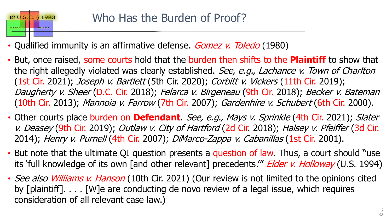• Qualified immunity is an affirmative defense. *Gomez v. Toledo* (1980)

 $42 \mathrm{U.S.}$ 

Sec. 1983

 $2.51983$ 

- But, once raised, some courts hold that the burden then shifts to the **Plaintiff** to show that the right allegedly violated was clearly established. See, e.g., Lachance v. Town of Charlton (1st Cir. 2021); *Joseph v. Bartlett* (5th Cir. 2020); *Corbitt v. Vickers* (11th Cir. 2019); Daugherty v. Sheer (D.C. Cir. 2018); Felarca v. Birgeneau (9th Cir. 2018); Becker v. Bateman (10th Cir. 2013); Mannoia v. Farrow (7th Cir. 2007); Gardenhire v. Schubert (6th Cir. 2000).
- Other courts place burden on **Defendant**. See, e.g., Mays v. Sprinkle (4th Cir. 2021); Slater v. Deasey (9th Cir. 2019); Outlaw v. City of Hartford (2d Cir. 2018); Halsey v. Pfeiffer (3d Cir. 2014); Henry v. Purnell (4th Cir. 2007); DiMarco-Zappa v. Cabanillas (1st Cir. 2001).
- But note that the ultimate QI question presents a question of law. Thus, a court should "use its 'full knowledge of its own [and other relevant] precedents." *Elder v. Holloway* (U.S. 1994)
- See also Williams v. Hanson (10th Cir. 2021) (Our review is not limited to the opinions cited by [plaintiff]. . . . [W]e are conducting de novo review of a legal issue, which requires consideration of all relevant case law.)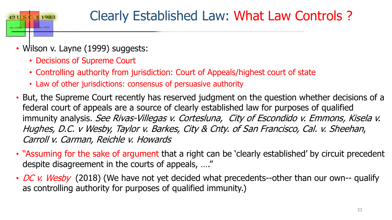

• Wilson v. Layne (1999) suggests:

 $42 \text{ U.S.}$ 

Sec. 1983

 $2.51983$ 

- Decisions of Supreme Court
- Controlling authority from jurisdiction: Court of Appeals/highest court of state
- Law of other jurisdictions: consensus of persuasive authority
- But, the Supreme Court recently has reserved judgment on the question whether decisions of a federal court of appeals are a source of clearly established law for purposes of qualified immunity analysis. See Rivas-Villegas v. Cortesluna, City of Escondido v. Emmons, Kisela v. Hughes, D.C. v Wesby, Taylor v. Barkes, City & Cnty. of San Francisco, Cal. v. Sheehan, Carroll v. Carman, Reichle v. Howards
- "Assuming for the sake of argument that a right can be 'clearly established' by circuit precedent despite disagreement in the courts of appeals, …."
- DC v. Wesby (2018) (We have not yet decided what precedents--other than our own-- qualify as controlling authority for purposes of qualified immunity.)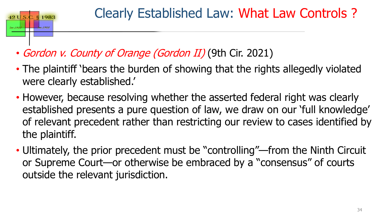• Gordon v. County of Orange (Gordon II) (9th Cir. 2021)

42 U.S.

Sec. 1983

§ 1983

- The plaintiff 'bears the burden of showing that the rights allegedly violated were clearly established.'
- However, because resolving whether the asserted federal right was clearly established presents a pure question of law, we draw on our 'full knowledge' of relevant precedent rather than restricting our review to cases identified by the plaintiff.
- Ultimately, the prior precedent must be "controlling"—from the Ninth Circuit or Supreme Court—or otherwise be embraced by a "consensus" of courts outside the relevant jurisdiction.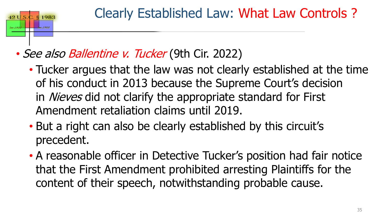### Clearly Established Law: What Law Controls ?

### • See also Ballentine v. Tucker (9th Cir. 2022)

 $42U.S$ 

§ 1983

- Tucker argues that the law was not clearly established at the time of his conduct in 2013 because the Supreme Court's decision in *Nieves* did not clarify the appropriate standard for First Amendment retaliation claims until 2019.
- But a right can also be clearly established by this circuit's precedent.
- A reasonable officer in Detective Tucker's position had fair notice that the First Amendment prohibited arresting Plaintiffs for the content of their speech, notwithstanding probable cause.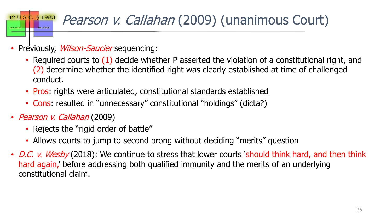### $2.51983$ Pearson v. Callahan (2009) (unanimous Court)

- Previously, *Wilson-Saucier* sequencing:
	- Required courts to (1) decide whether P asserted the violation of a constitutional right, and (2) determine whether the identified right was clearly established at time of challenged conduct.
	- Pros: rights were articulated, constitutional standards established
	- Cons: resulted in "unnecessary" constitutional "holdings" (dicta?)
- *Pearson v. Callahan* (2009)

 $42U.S.$ 

Sec. 1983

- Rejects the "rigid order of battle"
- Allows courts to jump to second prong without deciding "merits" question
- D.C. v. Wesby (2018): We continue to stress that lower courts 'should think hard, and then think hard again,' before addressing both qualified immunity and the merits of an underlying constitutional claim.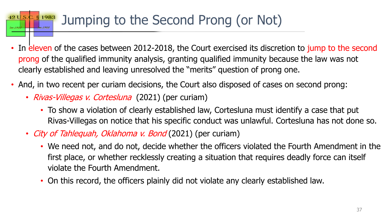#### § 1983 Jumping to the Second Prong (or Not)

- In eleven of the cases between 2012-2018, the Court exercised its discretion to jump to the second prong of the qualified immunity analysis, granting qualified immunity because the law was not clearly established and leaving unresolved the "merits" question of prong one.
- And, in two recent per curiam decisions, the Court also disposed of cases on second prong:
	- *Rivas-Villegas v. Cortesluna* (2021) (per curiam)

 $42U.S$ 

- To show a violation of clearly established law, Cortesluna must identify a case that put Rivas-Villegas on notice that his specific conduct was unlawful. Cortesluna has not done so.
- City of Tahlequah, Oklahoma v. Bond (2021) (per curiam)
	- We need not, and do not, decide whether the officers violated the Fourth Amendment in the first place, or whether recklessly creating a situation that requires deadly force can itself violate the Fourth Amendment.
	- On this record, the officers plainly did not violate any clearly established law.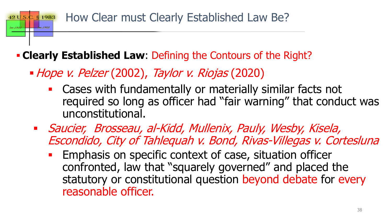#### How Clear must Clearly Established Law Be? **§** 1983

### **Clearly Established Law**: Defining the Contours of the Right?

• Hope v. Pelzer (2002), Taylor v. Riojas (2020)

 $42U.S.$ 

- Cases with fundamentally or materially similar facts not required so long as officer had "fair warning" that conduct was unconstitutional.
- Saucier, Brosseau, al-Kidd, Mullenix, Pauly, Wesby, Kisela, Escondido, City of Tahlequah v. Bond, Rivas-Villegas v. Cortesluna
	- **Emphasis on specific context of case, situation officer** confronted, law that "squarely governed" and placed the statutory or constitutional question beyond debate for every reasonable officer.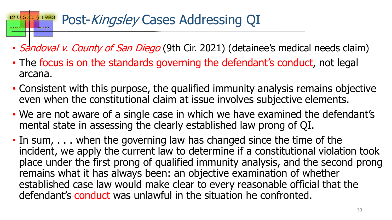### Post-Kingsley Cases Addressing QI

- Sandoval v. County of San Diego (9th Cir. 2021) (detainee's medical needs claim)
- The focus is on the standards governing the defendant's conduct, not legal arcana.
- Consistent with this purpose, the qualified immunity analysis remains objective even when the constitutional claim at issue involves subjective elements.
- We are not aware of a single case in which we have examined the defendant's mental state in assessing the clearly established law prong of QI.
- In sum, . . . when the governing law has changed since the time of the incident, we apply the current law to determine if a constitutional violation took place under the first prong of qualified immunity analysis, and the second prong remains what it has always been: an objective examination of whether established case law would make clear to every reasonable official that the defendant's conduct was unlawful in the situation he confronted.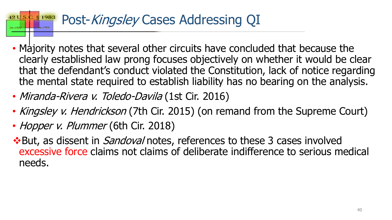### Post-Kingsley Cases Addressing QI

- Majority notes that several other circuits have concluded that because the clearly established law prong focuses objectively on whether it would be clear that the defendant's conduct violated the Constitution, lack of notice regarding the mental state required to establish liability has no bearing on the analysis.
- Miranda-Rivera v. Toledo-Davila (1st Cir. 2016)
- Kingsley v. Hendrickson (7th Cir. 2015) (on remand from the Supreme Court)
- Hopper v. Plummer (6th Cir. 2018)
- **\*But, as dissent in Sandoval notes, references to these 3 cases involved** excessive force claims not claims of deliberate indifference to serious medical needs.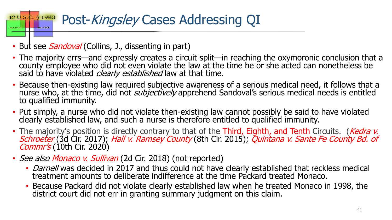#### Post-Kingsley Cases Addressing QI 42 U.S. § 1983 Sec. 1983

- But see *Sandoval* (Collins, J., dissenting in part)
- The majority errs—and expressly creates a circuit split—in reaching the oxymoronic conclusion that a county employee who did not even violate the law at the time he or she acted can nonetheless be said to have violated *clearly established* law at that time.
- Because then-existing law required subjective awareness of a serious medical need, it follows that a nurse who, at the time, did not *subjectively* apprehend Sandoval's serious medical needs is entitled to qualified immunity.
- Put simply, a nurse who did not violate then-existing law cannot possibly be said to have violated clearly established law, and such a nurse is therefore entitled to qualified immunity.
- The majority's position is directly contrary to that of the Third, Eighth, and Tenth Circuits. (Kedra v. Schroeter (3d Cir. 2017); Hall v. Ramsey County (8th Cir. 2015); Quintana v. Sante Fe County Bd. of<br>Commr's (10th Cir. 2020)
- See also Monaco v. Sullivan (2d Cir. 2018) (not reported)
	- *Darnell* was decided in 2017 and thus could not have clearly established that reckless medical treatment amounts to deliberate indifference at the time Packard treated Monaco.
	- Because Packard did not violate clearly established law when he treated Monaco in 1998, the district court did not err in granting summary judgment on this claim.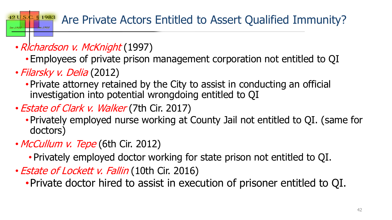#### $2. \,$ § 1983 Are Private Actors Entitled to Assert Qualified Immunity?

- Richardson v. McKnight (1997)
	- Employees of private prison management corporation not entitled to QI
- Filarsky v. Delia (2012)

 $42U.S.$ 

- Private attorney retained by the City to assist in conducting an official investigation into potential wrongdoing entitled to QI
- *Estate of Clark v. Walker* (7th Cir. 2017)
	- Privately employed nurse working at County Jail not entitled to QI. (same for doctors)
- McCullum v. Tepe (6th Cir. 2012)
	- Privately employed doctor working for state prison not entitled to QI.
- *Estate of Lockett v. Fallin* (10th Cir. 2016)
	- •Private doctor hired to assist in execution of prisoner entitled to QI.